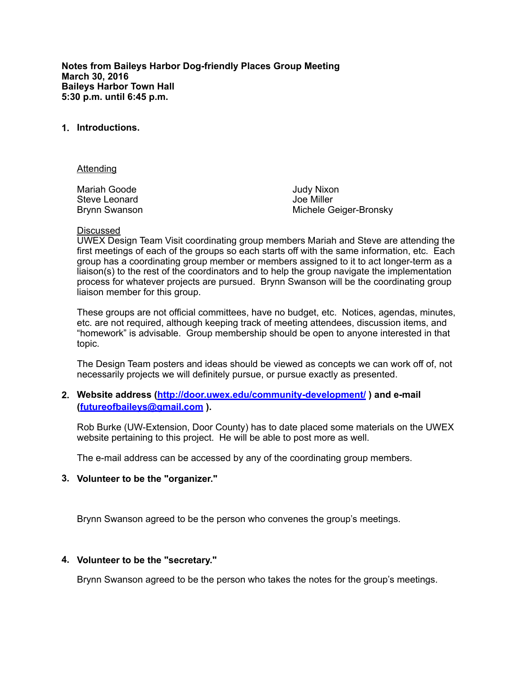**Notes from Baileys Harbor Dog-friendly Places Group Meeting March 30, 2016 Baileys Harbor Town Hall 5:30 p.m. until 6:45 p.m.** 

### **1. Introductions.**

Attending

Mariah Goode Steve Leonard Brynn Swanson Judy Nixon Joe Miller Michele Geiger-Bronsky

#### Discussed

UWEX Design Team Visit coordinating group members Mariah and Steve are attending the first meetings of each of the groups so each starts off with the same information, etc. Each group has a coordinating group member or members assigned to it to act longer-term as a liaison(s) to the rest of the coordinators and to help the group navigate the implementation process for whatever projects are pursued. Brynn Swanson will be the coordinating group liaison member for this group.

These groups are not official committees, have no budget, etc. Notices, agendas, minutes, etc. are not required, although keeping track of meeting attendees, discussion items, and "homework" is advisable. Group membership should be open to anyone interested in that topic.

The Design Team posters and ideas should be viewed as concepts we can work off of, not necessarily projects we will definitely pursue, or pursue exactly as presented.

### **2. Website address (<http://door.uwex.edu/community-development/>) and e-mail ([futureofbaileys@gmail.com](mailto:futureofbaileys@gmail.com) ).**

Rob Burke (UW-Extension, Door County) has to date placed some materials on the UWEX website pertaining to this project. He will be able to post more as well.

The e-mail address can be accessed by any of the coordinating group members.

### **3. Volunteer to be the "organizer."**

Brynn Swanson agreed to be the person who convenes the group's meetings.

### **4. Volunteer to be the "secretary."**

Brynn Swanson agreed to be the person who takes the notes for the group's meetings.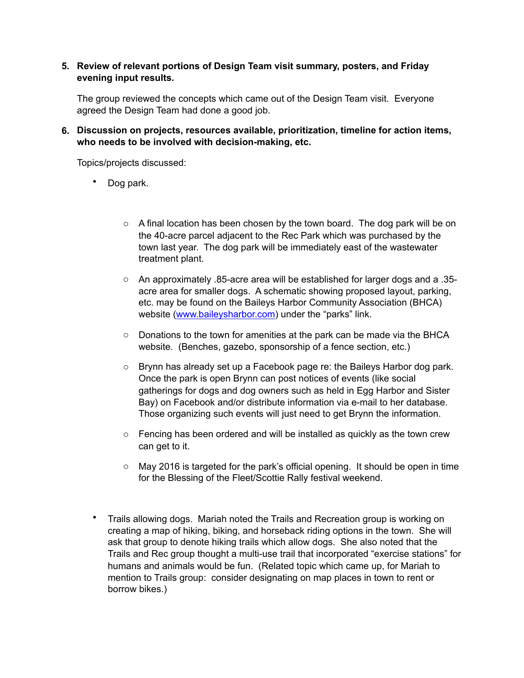# **5. Review of relevant portions of Design Team visit summary, posters, and Friday evening input results.**

The group reviewed the concepts which came out of the Design Team visit. Everyone agreed the Design Team had done a good job.

**6. Discussion on projects, resources available, prioritization, timeline for action items, who needs to be involved with decision-making, etc.** 

Topics/projects discussed:

- Dog park.
	- $\circ$  A final location has been chosen by the town board. The dog park will be on the 40-acre parcel adjacent to the Rec Park which was purchased by the town last year. The dog park will be immediately east of the wastewater treatment plant.
	- o An approximately .85-acre area will be established for larger dogs and a .35 acre area for smaller dogs. A schematic showing proposed layout, parking, etc. may be found on the Baileys Harbor Community Association (BHCA) website [\(www.baileysharbor.com\)](http://www.baileysharbor.com) under the "parks" link.
	- $\circ$  Donations to the town for amenities at the park can be made via the BHCA website. (Benches, gazebo, sponsorship of a fence section, etc.)
	- o Brynn has already set up a Facebook page re: the Baileys Harbor dog park. Once the park is open Brynn can post notices of events (like social gatherings for dogs and dog owners such as held in Egg Harbor and Sister Bay) on Facebook and/or distribute information via e-mail to her database. Those organizing such events will just need to get Brynn the information.
	- $\circ$  Fencing has been ordered and will be installed as quickly as the town crew can get to it.
	- o May 2016 is targeted for the park's official opening. It should be open in time for the Blessing of the Fleet/Scottie Rally festival weekend.
- Trails allowing dogs. Mariah noted the Trails and Recreation group is working on creating a map of hiking, biking, and horseback riding options in the town. She will ask that group to denote hiking trails which allow dogs. She also noted that the Trails and Rec group thought a multi-use trail that incorporated "exercise stations" for humans and animals would be fun. (Related topic which came up, for Mariah to mention to Trails group: consider designating on map places in town to rent or borrow bikes.)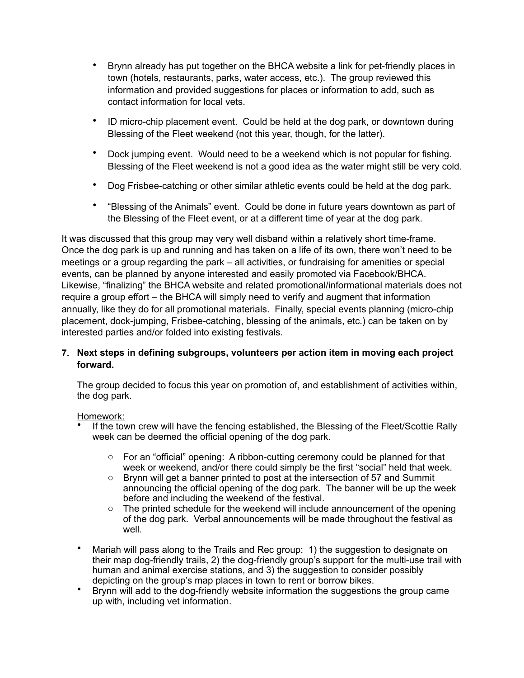- Brynn already has put together on the BHCA website a link for pet-friendly places in town (hotels, restaurants, parks, water access, etc.). The group reviewed this information and provided suggestions for places or information to add, such as contact information for local vets.
- ID micro-chip placement event. Could be held at the dog park, or downtown during Blessing of the Fleet weekend (not this year, though, for the latter).
- Dock jumping event. Would need to be a weekend which is not popular for fishing. Blessing of the Fleet weekend is not a good idea as the water might still be very cold.
- Dog Frisbee-catching or other similar athletic events could be held at the dog park.
- "Blessing of the Animals" event. Could be done in future years downtown as part of the Blessing of the Fleet event, or at a different time of year at the dog park.

It was discussed that this group may very well disband within a relatively short time-frame. Once the dog park is up and running and has taken on a life of its own, there won't need to be meetings or a group regarding the park – all activities, or fundraising for amenities or special events, can be planned by anyone interested and easily promoted via Facebook/BHCA. Likewise, "finalizing" the BHCA website and related promotional/informational materials does not require a group effort – the BHCA will simply need to verify and augment that information annually, like they do for all promotional materials. Finally, special events planning (micro-chip placement, dock-jumping, Frisbee-catching, blessing of the animals, etc.) can be taken on by interested parties and/or folded into existing festivals.

# **7. Next steps in defining subgroups, volunteers per action item in moving each project forward.**

The group decided to focus this year on promotion of, and establishment of activities within, the dog park.

# Homework:

- If the town crew will have the fencing established, the Blessing of the Fleet/Scottie Rally week can be deemed the official opening of the dog park.
	- o For an "official" opening: A ribbon-cutting ceremony could be planned for that week or weekend, and/or there could simply be the first "social" held that week.
	- o Brynn will get a banner printed to post at the intersection of 57 and Summit announcing the official opening of the dog park. The banner will be up the week before and including the weekend of the festival.
	- $\circ$  The printed schedule for the weekend will include announcement of the opening of the dog park. Verbal announcements will be made throughout the festival as well
- Mariah will pass along to the Trails and Rec group: 1) the suggestion to designate on their map dog-friendly trails, 2) the dog-friendly group's support for the multi-use trail with human and animal exercise stations, and 3) the suggestion to consider possibly depicting on the group's map places in town to rent or borrow bikes.
- Brynn will add to the dog-friendly website information the suggestions the group came up with, including vet information.